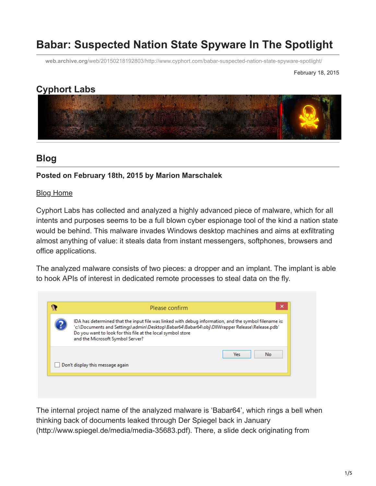# **Babar: Suspected Nation State Spyware In The Spotlight**

**web.archive.org**[/web/20150218192803/http://www.cyphort.com/babar-suspected-nation-state-spyware-spotlight/](https://web.archive.org/web/20150218192803/http://www.cyphort.com/babar-suspected-nation-state-spyware-spotlight/)

February 18, 2015

# **Cyphort Labs**



# **Blog**

#### **Posted on February 18th, 2015 by Marion Marschalek**

#### [Blog Home](https://web.archive.org/web/20150218192803/http://www.cyphort.com/labs/blog/)

Cyphort Labs has collected and analyzed a highly advanced piece of malware, which for all intents and purposes seems to be a full blown cyber espionage tool of the kind a nation state would be behind. This malware invades Windows desktop machines and aims at exfiltrating almost anything of value: it steals data from instant messengers, softphones, browsers and office applications.

The analyzed malware consists of two pieces: a dropper and an implant. The implant is able to hook APIs of interest in dedicated remote processes to steal data on the fly.

| ×<br>Please confirm                                                                                                                                                                                                                                                                                      |            |
|----------------------------------------------------------------------------------------------------------------------------------------------------------------------------------------------------------------------------------------------------------------------------------------------------------|------------|
| IDA has determined that the input file was linked with debug information, and the symbol filename is:<br>'c:\Documents and Settings\admin\Desktop\Babar64\Babar64\obj\DllWrapper Release\Release.pdb'<br>Do you want to look for this file at the local symbol store<br>and the Microsoft Symbol Server? |            |
| Don't display this message again                                                                                                                                                                                                                                                                         | No.<br>Yes |

The internal project name of the analyzed malware is 'Babar64', which rings a bell when thinking back of documents leaked through Der Spiegel back in January (http://www.spiegel.de/media/media-35683.pdf). There, a slide deck originating from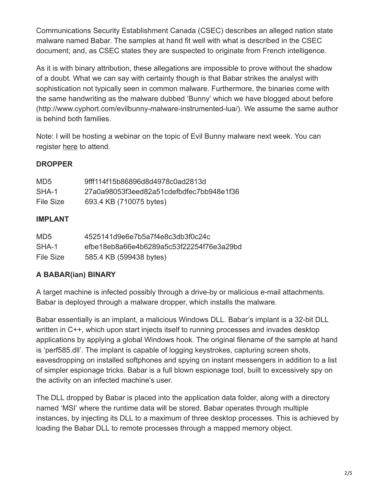Communications Security Establishment Canada (CSEC) describes an alleged nation state malware named Babar. The samples at hand fit well with what is described in the CSEC document; and, as CSEC states they are suspected to originate from French intelligence.

As it is with binary attribution, these allegations are impossible to prove without the shadow of a doubt. What we can say with certainty though is that Babar strikes the analyst with sophistication not typically seen in common malware. Furthermore, the binaries come with the same handwriting as the malware dubbed 'Bunny' which we have blogged about before (http://www.cyphort.com/evilbunny-malware-instrumented-lua/). We assume the same author is behind both families.

Note: I will be hosting a webinar on the topic of Evil Bunny malware next week. You can register [here](https://web.archive.org/web/20150218192803/http://info.cyphort.com/mmwfebruary) to attend.

### **DROPPER**

| MD5       | 9fff114f15b86896d8d4978c0ad2813d         |
|-----------|------------------------------------------|
| SHA-1     | 27a0a98053f3eed82a51cdefbdfec7bb948e1f36 |
| File Size | 693.4 KB (710075 bytes)                  |

### **IMPLANT**

| MD <sub>5</sub> | 4525141d9e6e7b5a7f4e8c3db3f0c24c         |
|-----------------|------------------------------------------|
| SHA-1           | efbe18eb8a66e4b6289a5c53f22254f76e3a29bd |
| File Size       | 585.4 KB (599438 bytes)                  |

## **A BABAR(ian) BINARY**

A target machine is infected possibly through a drive-by or malicious e-mail attachments. Babar is deployed through a malware dropper, which installs the malware.

Babar essentially is an implant, a malicious Windows DLL. Babar's implant is a 32-bit DLL written in C++, which upon start injects itself to running processes and invades desktop applications by applying a global Windows hook. The original filename of the sample at hand is 'perf585.dll'. The implant is capable of logging keystrokes, capturing screen shots, eavesdropping on installed softphones and spying on instant messengers in addition to a list of simpler espionage tricks. Babar is a full blown espionage tool, built to excessively spy on the activity on an infected machine's user.

The DLL dropped by Babar is placed into the application data folder, along with a directory named 'MSI' where the runtime data will be stored. Babar operates through multiple instances, by injecting its DLL to a maximum of three desktop processes. This is achieved by loading the Babar DLL to remote processes through a mapped memory object.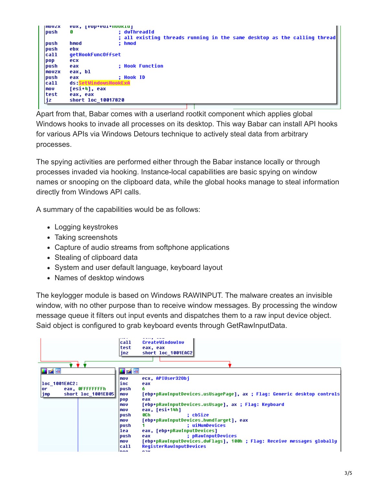```
IIIIIUZX
        EDX, [EDD+EAT+HOORTA]
                         ; dwThreadId
push
        G
                          ; all existing threads running in the same desktop as the calling thread
push
        hmod
                          ; hmod
push
        ebx
call
        getHookFuncOffset
        ecx
DOD
push
        eax
                          ; Hook Function
        eax, bl
mouzx
push
        eax
                         ; Hook ID
        ds:SetWindowsHookExA
ca11
mou
        [esi+4], eax
test
        eax, eax
        short loc 10017820
|jz
```
Apart from that, Babar comes with a userland rootkit component which applies global Windows hooks to invade all processes on its desktop. This way Babar can install API hooks for various APIs via Windows Detours technique to actively steal data from arbitrary processes.

The spying activities are performed either through the Babar instance locally or through processes invaded via hooking. Instance-local capabilities are basic spying on window names or snooping on the clipboard data, while the global hooks manage to steal information directly from Windows API calls.

A summary of the capabilities would be as follows:

- Logging keystrokes
- Taking screenshots
- Capture of audio streams from softphone applications
- Stealing of clipboard data
- System and user default language, keyboard layout
- Names of desktop windows

The keylogger module is based on Windows RAWINPUT. The malware creates an invisible window, with no other purpose than to receive window messages. By processing the window message queue it filters out input events and dispatches them to a raw input device object. Said object is configured to grab keyboard events through GetRawInputData.

|                                                                        | call<br>test<br>jnz                                                                                                                  | CreateWindowInv<br>eax, eax<br>short loc 1001EAC2                                                                                                                                                                                                                                                                                                                                                                                                  |
|------------------------------------------------------------------------|--------------------------------------------------------------------------------------------------------------------------------------|----------------------------------------------------------------------------------------------------------------------------------------------------------------------------------------------------------------------------------------------------------------------------------------------------------------------------------------------------------------------------------------------------------------------------------------------------|
| 凶降                                                                     | <b>H</b> A R                                                                                                                         |                                                                                                                                                                                                                                                                                                                                                                                                                                                    |
| loc 1001EAC2:<br>eax. OFFFFFFFFh<br>lor.<br> jmp<br>short loc 1001EB05 | l mov<br>inc<br>lpush<br> mov<br>pop<br>mov<br>l mo v<br> push<br>l mo v<br> push <br>lea<br> push <br>l movi<br> call<br><b>non</b> | ecx, APIUser320bi<br>eax<br>6.<br>[ebp+pRawInputDevices.usUsaqePaqe], ax ; Flaq: Generic desktop controls<br>eax<br>[ebp+pRawInputDevices.usUsage], ax ; Flag: Keyboard<br>eax, [esi+14h]<br>8C h<br>: cbSize<br>[ebp+pRawInputDevices.hwndTarget], eax<br>: uiNumDevices<br>eax, [ebp+pRawInputDevices]<br>; pRawInputDevices<br>eax<br>[ebp+pRawInputDevices.dwFlaqs], 100h ; Flaq: Receive messaqes qlobally<br>RegisterRawInputDevices<br>n nu |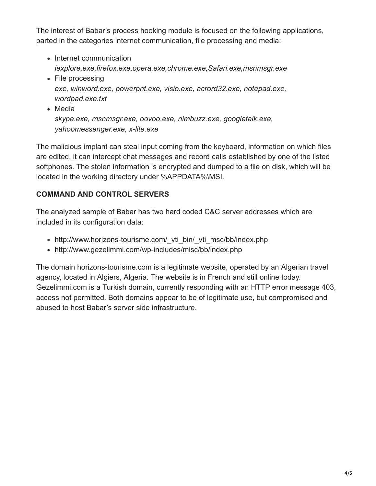The interest of Babar's process hooking module is focused on the following applications, parted in the categories internet communication, file processing and media:

- Internet communication *iexplore.exe,firefox.exe,opera.exe,chrome.exe,Safari.exe,msnmsgr.exe*
- File processing *exe, winword.exe, powerpnt.exe, visio.exe, acrord32.exe, notepad.exe, wordpad.exe.txt*
- Media *skype.exe, msnmsgr.exe, oovoo.exe, nimbuzz.exe, googletalk.exe, yahoomessenger.exe, x-lite.exe*

The malicious implant can steal input coming from the keyboard, information on which files are edited, it can intercept chat messages and record calls established by one of the listed softphones. The stolen information is encrypted and dumped to a file on disk, which will be located in the working directory under %APPDATA%\MSI.

### **COMMAND AND CONTROL SERVERS**

The analyzed sample of Babar has two hard coded C&C server addresses which are included in its configuration data:

- http://www.horizons-tourisme.com/ vti\_bin/\_vti\_msc/bb/index.php
- http://www.gezelimmi.com/wp-includes/misc/bb/index.php

The domain horizons-tourisme.com is a legitimate website, operated by an Algerian travel agency, located in Algiers, Algeria. The website is in French and still online today. Gezelimmi.com is a Turkish domain, currently responding with an HTTP error message 403, access not permitted. Both domains appear to be of legitimate use, but compromised and abused to host Babar's server side infrastructure.